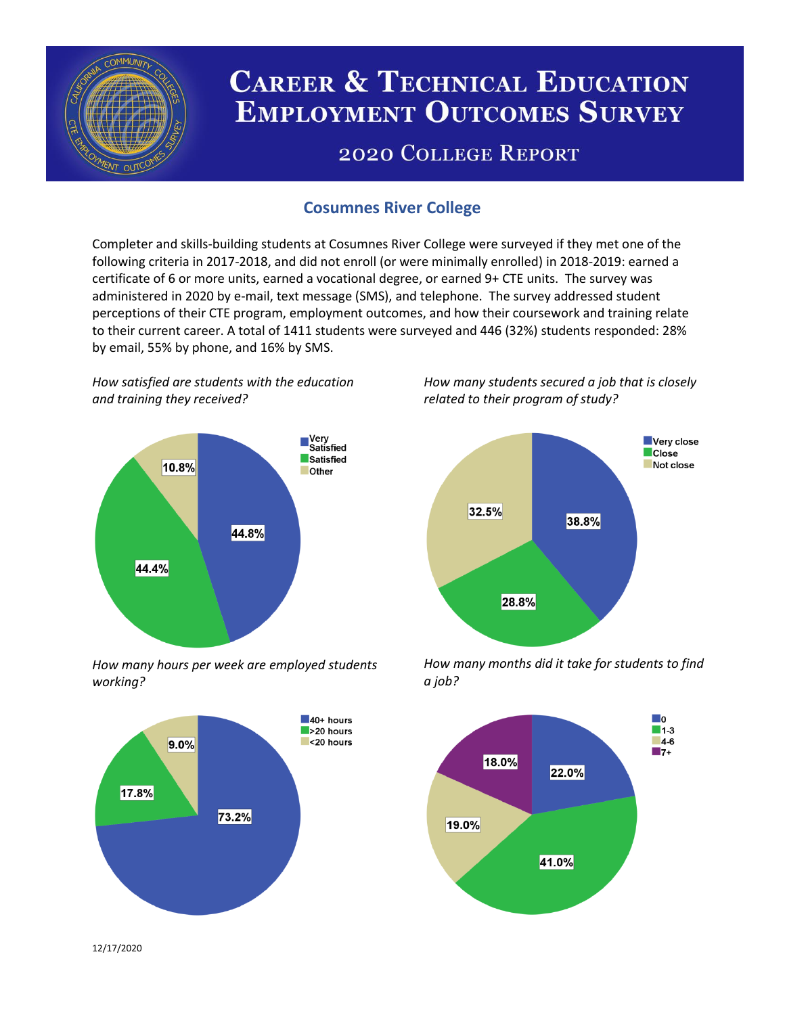

# **CAREER & TECHNICAL EDUCATION EMPLOYMENT OUTCOMES SURVEY**

## **2020 COLLEGE REPORT**

## **Cosumnes River College**

Completer and skills-building students at Cosumnes River College were surveyed if they met one of the following criteria in 2017-2018, and did not enroll (or were minimally enrolled) in 2018-2019: earned a certificate of 6 or more units, earned a vocational degree, or earned 9+ CTE units. The survey was administered in 2020 by e-mail, text message (SMS), and telephone. The survey addressed student perceptions of their CTE program, employment outcomes, and how their coursework and training relate to their current career. A total of 1411 students were surveyed and 446 (32%) students responded: 28% by email, 55% by phone, and 16% by SMS.

*How satisfied are students with the education and training they received?*



*How many hours per week are employed students working?*



*How many students secured a job that is closely related to their program of study?*



*How many months did it take for students to find a job?*



12/17/2020